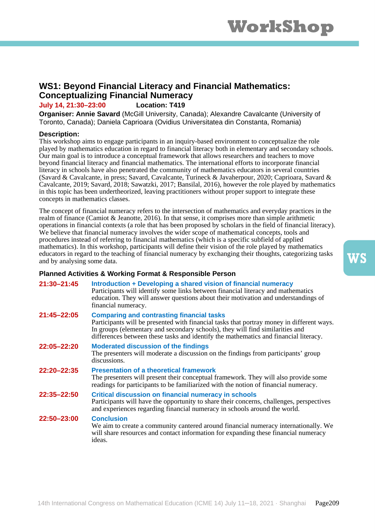## **WS1: Beyond Financial Literacy and Financial Mathematics: Conceptualizing Financial Numeracy**

**July 14, 21:30–23:00 Location: T419**

**Organiser: Annie Savard** (McGill University, Canada); Alexandre Cavalcante (University of Toronto, Canada); Daniela Caprioara (Ovidius Universitatea din Constanta, Romania)

### **Description:**

This workshop aims to engage participants in an inquiry-based environment to conceptualize the role played by mathematics education in regard to financial literacy both in elementary and secondary schools. Our main goal is to introduce a conceptual framework that allows researchers and teachers to move beyond financial literacy and financial mathematics. The international efforts to incorporate financial literacy in schools have also penetrated the community of mathematics educators in several countries (Savard & Cavalcante, in press; Savard, Cavalcante, Turineck & Javaherpour, 2020; Caprioara, Savard & Cavalcante, 2019; Savard, 2018; Sawatzki, 2017; Bansilal, 2016), however the role played by mathematics in this topic has been undertheorized, leaving practitioners without proper support to integrate these concepts in mathematics classes.

The concept of financial numeracy refers to the intersection of mathematics and everyday practices in the realm of finance (Camiot & Jeanotte, 2016). In that sense, it comprises more than simple arithmetic operations in financial contexts (a role that has been proposed by scholars in the field of financial literacy). We believe that financial numeracy involves the wider scope of mathematical concepts, tools and procedures instead of referring to financial mathematics (which is a specific subfield of applied mathematics). In this workshop, participants will define their vision of the role played by mathematics educators in regard to the teaching of financial numeracy by exchanging their thoughts, categorizing tasks and by analysing some data.

| 21:30-21:45 | Introduction + Developing a shared vision of financial numeracy<br>Participants will identify some links between financial literacy and mathematics<br>education. They will answer questions about their motivation and understandings of<br>financial numeracy.                                                       |
|-------------|------------------------------------------------------------------------------------------------------------------------------------------------------------------------------------------------------------------------------------------------------------------------------------------------------------------------|
| 21:45-22:05 | <b>Comparing and contrasting financial tasks</b><br>Participants will be presented with financial tasks that portray money in different ways.<br>In groups (elementary and secondary schools), they will find similarities and<br>differences between these tasks and identify the mathematics and financial literacy. |
| 22:05-22:20 | <b>Moderated discussion of the findings</b><br>The presenters will moderate a discussion on the findings from participants' group<br>discussions.                                                                                                                                                                      |
| 22:20-22:35 | <b>Presentation of a theoretical framework</b><br>The presenters will present their conceptual framework. They will also provide some<br>readings for participants to be familiarized with the notion of financial numeracy.                                                                                           |
| 22:35-22:50 | <b>Critical discussion on financial numeracy in schools</b><br>Participants will have the opportunity to share their concerns, challenges, perspectives<br>and experiences regarding financial numeracy in schools around the world.                                                                                   |
| 22:50-23:00 | <b>Conclusion</b><br>We aim to create a community cantered around financial numeracy internationally. We<br>will share resources and contact information for expanding these financial numeracy<br>ideas.                                                                                                              |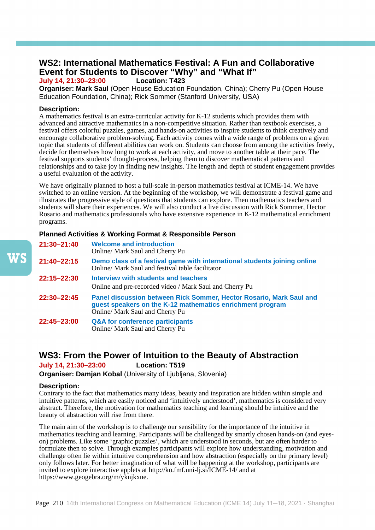## **WS2: International Mathematics Festival: A Fun and Collaborative**  Event for Students to Discover "Why" and "What If"<br>**July 14, 21:30-23:00** Location: T423

**July 14, 21:30–23:00 Location: T423**

**Organiser: Mark Saul** (Open House Education Foundation, China); Cherry Pu (Open House Education Foundation, China); Rick Sommer (Stanford University, USA)

### **Description:**

A mathematics festival is an extra-curricular activity for K-12 students which provides them with advanced and attractive mathematics in a non-competitive situation. Rather than textbook exercises, a festival offers colorful puzzles, games, and hands-on activities to inspire students to think creatively and encourage collaborative problem-solving. Each activity comes with a wide range of problems on a given topic that students of different abilities can work on. Students can choose from among the activities freely, decide for themselves how long to work at each activity, and move to another table at their pace. The festival supports students' thought-process, helping them to discover mathematical patterns and relationships and to take joy in finding new insights. The length and depth of student engagement provides a useful evaluation of the activity.

We have originally planned to host a full-scale in-person mathematics festival at ICME-14. We have switched to an online version. At the beginning of the workshop, we will demonstrate a festival game and illustrates the progressive style of questions that students can explore. Then mathematics teachers and students will share their experiences. We will also conduct a live discussion with Rick Sommer, Hector Rosario and mathematics professionals who have extensive experience in K-12 mathematical enrichment programs.

### **Planned Activities & Working Format & Responsible Person**

| 21:30-21:40 | <b>Welcome and introduction</b><br>Online/ Mark Saul and Cherry Pu                                                                                                  |
|-------------|---------------------------------------------------------------------------------------------------------------------------------------------------------------------|
| 21:40-22:15 | Demo class of a festival game with international students joining online<br>Online/ Mark Saul and festival table facilitator                                        |
| 22:15-22:30 | Interview with students and teachers<br>Online and pre-recorded video / Mark Saul and Cherry Pu                                                                     |
| 22:30-22:45 | Panel discussion between Rick Sommer, Hector Rosario, Mark Saul and<br>guest speakers on the K-12 mathematics enrichment program<br>Online/ Mark Saul and Cherry Pu |
| 22:45-23:00 | <b>Q&amp;A for conference participants</b><br>Online/ Mark Saul and Cherry Pu                                                                                       |

### **WS3: From the Power of Intuition to the Beauty of Abstraction**

**July 14, 21:30–23:00 Location: T519**

**Organiser: Damjan Kobal** (University of Ljubljana, Slovenia)

### **Description:**

Contrary to the fact that mathematics many ideas, beauty and inspiration are hidden within simple and intuitive patterns, which are easily noticed and 'intuitively understood', mathematics is considered very abstract. Therefore, the motivation for mathematics teaching and learning should be intuitive and the beauty of abstraction will rise from there.

The main aim of the workshop is to challenge our sensibility for the importance of the intuitive in mathematics teaching and learning. Participants will be challenged by smartly chosen hands-on (and eyeson) problems. Like some 'graphic puzzles', which are understood in seconds, but are often harder to formulate then to solve. Through examples participants will explore how understanding, motivation and challenge often lie within intuitive comprehension and how abstraction (especially on the primary level) only follows later. For better imagination of what will be happening at the workshop, participants are invited to explore interactive applets at http://ko.fmf.uni-lj.si/ICME-14/ and at https://www.geogebra.org/m/yknjkxne.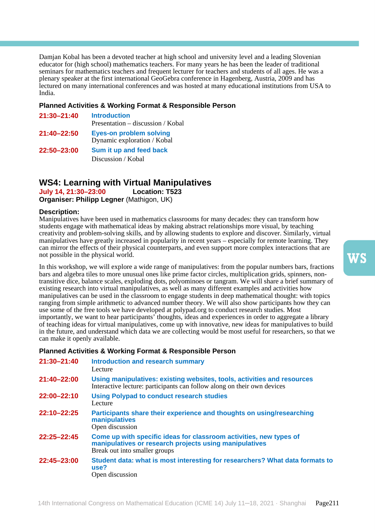Damjan Kobal has been a devoted teacher at high school and university level and a leading Slovenian educator for (high school) mathematics teachers. For many years he has been the leader of traditional seminars for mathematics teachers and frequent lecturer for teachers and students of all ages. He was a plenary speaker at the first international GeoGebra conference in Hagenberg, Austria, 2009 and has lectured on many international conferences and was hosted at many educational institutions from USA to India.

### **Planned Activities & Working Format & Responsible Person**

**21:30–21:40 Introduction** Presentation – discussion / Kobal **21:40–22:50 Eyes-on problem solving**  Dynamic exploration / Kobal **22:50–23:00 Sum it up and feed back**  Discussion / Kobal

# **WS4: Learning with Virtual Manipulatives**

**July 14, 21:30–23:00 Location: T523 Organiser: Philipp Legner** (Mathigon, UK)

### **Description:**

Manipulatives have been used in mathematics classrooms for many decades: they can transform how students engage with mathematical ideas by making abstract relationships more visual, by teaching creativity and problem-solving skills, and by allowing students to explore and discover. Similarly, virtual manipulatives have greatly increased in popularity in recent years – especially for remote learning. They can mirror the effects of their physical counterparts, and even support more complex interactions that are not possible in the physical world.

In this workshop, we will explore a wide range of manipulatives: from the popular numbers bars, fractions bars and algebra tiles to more unusual ones like prime factor circles, multiplication grids, spinners, nontransitive dice, balance scales, exploding dots, polyominoes or tangram. We will share a brief summary of existing research into virtual manipulatives, as well as many different examples and activities how manipulatives can be used in the classroom to engage students in deep mathematical thought: with topics ranging from simple arithmetic to advanced number theory. We will also show participants how they can use some of the free tools we have developed at polypad.org to conduct research studies. Most importantly, we want to hear participants' thoughts, ideas and experiences in order to aggregate a library of teaching ideas for virtual manipulatives, come up with innovative, new ideas for manipulatives to build in the future, and understand which data we are collecting would be most useful for researchers, so that we can make it openly available.

| 21:30-21:40 | <b>Introduction and research summary</b><br>Lecture                                                                                                           |
|-------------|---------------------------------------------------------------------------------------------------------------------------------------------------------------|
| 21:40-22:00 | Using manipulatives: existing websites, tools, activities and resources<br>Interactive lecture: participants can follow along on their own devices            |
| 22:00-22:10 | <b>Using Polypad to conduct research studies</b><br>Lecture                                                                                                   |
| 22:10-22:25 | Participants share their experience and thoughts on using/researching<br>manipulatives<br>Open discussion                                                     |
| 22:25-22:45 | Come up with specific ideas for classroom activities, new types of<br>manipulatives or research projects using manipulatives<br>Break out into smaller groups |
| 22:45-23:00 | Student data: what is most interesting for researchers? What data formats to<br>use?<br>Open discussion                                                       |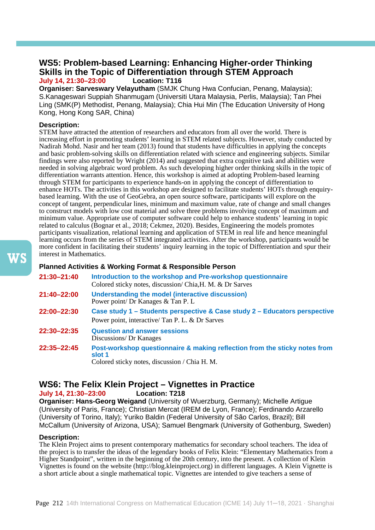## **WS5: Problem-based Learning: Enhancing Higher-order Thinking Skills in the Topic of Differentiation through STEM Approach July 14, 21:30-23:00**

**Organiser: Sarveswary Velayutham** (SMJK Chung Hwa Confucian, Penang, Malaysia); S.Kanageswari Suppiah Shanmugam (Universiti Utara Malaysia, Perlis, Malaysia); Tan Phei Ling (SMK(P) Methodist, Penang, Malaysia); Chia Hui Min (The Education University of Hong Kong, Hong Kong SAR, China)

### **Description:**

STEM have attracted the attention of researchers and educators from all over the world. There is increasing effort in promoting students' learning in STEM related subjects. However, study conducted by Nadirah Mohd. Nasir and her team (2013) found that students have difficulties in applying the concepts and basic problem-solving skills on differentiation related with science and engineering subjects. Similar findings were also reported by Wright (2014) and suggested that extra cognitive task and abilities were needed in solving algebraic word problem. As such developing higher order thinking skills in the topic of differentiation warrants attention. Hence, this workshop is aimed at adopting Problem-based learning through STEM for participants to experience hands-on in applying the concept of differentiation to enhance HOTs. The activities in this workshop are designed to facilitate students' HOTs through enquirybased learning. With the use of GeoGebra, an open source software, participants will explore on the concept of tangent, perpendicular lines, minimum and maximum value, rate of change and small changes to construct models with low cost material and solve three problems involving concept of maximum and minimum value. Appropriate use of computer software could help to enhance students' learning in topic related to calculus (Bognar et al., 2018; Cekmez, 2020). Besides, Engineering the models promotes participants visualization, relational learning and application of STEM in real life and hence meaningful learning occurs from the series of STEM integrated activities. After the workshop, participants would be more confident in facilitating their students' inquiry learning in the topic of Differentiation and spur their interest in Mathematics.

### **Planned Activities & Working Format & Responsible Person**

| 21:30-21:40 | Introduction to the workshop and Pre-workshop questionnaire<br>Colored sticky notes, discussion/Chia, H. M. & Dr Sarves               |
|-------------|---------------------------------------------------------------------------------------------------------------------------------------|
| 21:40-22:00 | Understanding the model (interactive discussion)<br>Power point/ Dr Kanages & Tan P. L                                                |
| 22:00-22:30 | Case study 1 – Students perspective & Case study 2 – Educators perspective<br>Power point, interactive/ Tan P. L. & Dr Sarves         |
| 22:30-22:35 | <b>Question and answer sessions</b><br>Discussions/ Dr Kanages                                                                        |
| 22:35-22:45 | Post-workshop questionnaire & making reflection from the sticky notes from<br>slot 1<br>Colored sticky notes, discussion / Chia H. M. |

# **WS6: The Felix Klein Project – Vignettes in Practice**

### **July 14, 21:30–23:00 Location: T218**

**Organiser: Hans-Georg Weigand** (University of Wuerzburg, Germany); Michelle Artigue (University of Paris, France); Christian Mercat (IREM de Lyon, France); Ferdinando Arzarello (University of Torino, Italy); Yuriko Baldin (Federal University of São Carlos, Brazil); Bill McCallum (University of Arizona, USA); Samuel Bengmark (University of Gothenburg, Sweden)

### **Description:**

The Klein Project aims to present contemporary mathematics for secondary school teachers. The idea of the project is to transfer the ideas of the legendary books of Felix Klein: "Elementary Mathematics from a Higher Standpoint", written in the beginning of the 20th century, into the present. A collection of Klein Vignettes is found on the website (http://blog.kleinproject.org) in different languages. A Klein Vignette is a short article about a single mathematical topic. Vignettes are intended to give teachers a sense of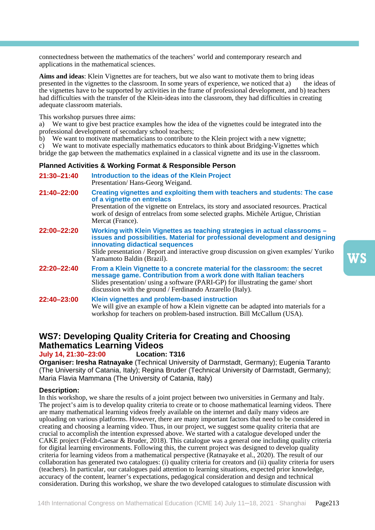connectedness between the mathematics of the teachers' world and contemporary research and applications in the mathematical sciences.

**Aims and ideas**: Klein Vignettes are for teachers, but we also want to motivate them to bring ideas of presented in the vignettes to the classroom. In some vears of experience, we noticed that a) the ideas of presented in the vignettes to the classroom. In some years of experience, we noticed that a) the vignettes have to be supported by activities in the frame of professional development, and b) teachers had difficulties with the transfer of the Klein-ideas into the classroom, they had difficulties in creating adequate classroom materials.

This workshop pursues three aims:

a) We want to give best practice examples how the idea of the vignettes could be integrated into the professional development of secondary school teachers;

b) We want to motivate mathematicians to contribute to the Klein project with a new vignette;

c) We want to motivate especially mathematics educators to think about Bridging-Vignettes which bridge the gap between the mathematics explained in a classical vignette and its use in the classroom.

#### **Planned Activities & Working Format & Responsible Person**

**21:30–21:40 Introduction to the ideas of the Klein Project**  Presentation/ Hans-Georg Weigand. **21:40–22:00 Creating vignettes and exploiting them with teachers and students: The case of a vignette on entrelacs**  Presentation of the vignette on Entrelacs, its story and associated resources. Practical work of design of entrelacs from some selected graphs. Michèle Artigue, Christian Mercat (France). **22:00–22:20 Working with Klein Vignettes as teaching strategies in actual classrooms – issues and possibilities. Material for professional development and designing innovating didactical sequences**  Slide presentation / Report and interactive group discussion on given examples/ Yuriko Yamamoto Baldin (Brazil). **22:20–22:40 From a Klein Vignette to a concrete material for the classroom: the secret message game. Contribution from a work done with Italian teachers**  Slides presentation/ using a software (PARI-GP) for illustrating the game/ short discussion with the ground / Ferdinando Arzarello (Italy). **22:40–23:00 Klein vignettes and problem-based instruction**  We will give an example of how a Klein vignette can be adapted into materials for a workshop for teachers on problem-based instruction. Bill McCallum (USA).

## **WS7: Developing Quality Criteria for Creating and Choosing Mathematics Learning Videos**

### **July 14, 21:30–23:00 Location: T316**

**Organiser: Iresha Ratnayake** (Technical University of Darmstadt, Germany); Eugenia Taranto (The University of Catania, Italy); Regina Bruder (Technical University of Darmstadt, Germany); Maria Flavia Mammana (The University of Catania, Italy)

### **Description:**

In this workshop, we share the results of a joint project between two universities in Germany and Italy. The project's aim is to develop quality criteria to create or to choose mathematical learning videos. There are many mathematical learning videos freely available on the internet and daily many videos are uploading on various platforms. However, there are many important factors that need to be considered in creating and choosing a learning video. Thus, in our project, we suggest some quality criteria that are crucial to accomplish the intention expressed above. We started with a catalogue developed under the CAKE project (Feldt-Caesar & Bruder, 2018). This catalogue was a general one including quality criteria for digital learning environments. Following this, the current project was designed to develop quality criteria for learning videos from a mathematical perspective (Ratnayake et al., 2020). The result of our collaboration has generated two catalogues: (i) quality criteria for creators and (ii) quality criteria for users (teachers). In particular, our catalogues paid attention to learning situations, expected prior knowledge, accuracy of the content, learner's expectations, pedagogical consideration and design and technical consideration. During this workshop, we share the two developed catalogues to stimulate discussion with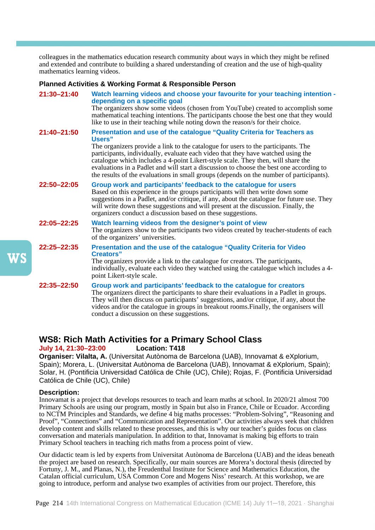colleagues in the mathematics education research community about ways in which they might be refined and extended and contribute to building a shared understanding of creation and the use of high-quality mathematics learning videos.

### **Planned Activities & Working Format & Responsible Person**

| 21:30-21:40     | Watch learning videos and choose your favourite for your teaching intention -<br>depending on a specific goal<br>The organizers show some videos (chosen from YouTube) created to accomplish some<br>mathematical teaching intentions. The participants choose the best one that they would<br>like to use in their teaching while noting down the reason/s for their choice.                                                                                                                                                        |
|-----------------|--------------------------------------------------------------------------------------------------------------------------------------------------------------------------------------------------------------------------------------------------------------------------------------------------------------------------------------------------------------------------------------------------------------------------------------------------------------------------------------------------------------------------------------|
| 21:40-21:50     | Presentation and use of the catalogue "Quality Criteria for Teachers as<br>Users"<br>The organizers provide a link to the catalogue for users to the participants. The<br>participants, individually, evaluate each video that they have watched using the<br>catalogue which includes a 4-point Likert-style scale. They then, will share the<br>evaluations in a Padlet and will start a discussion to choose the best one according to<br>the results of the evaluations in small groups (depends on the number of participants). |
| 22:50-22:05     | Group work and participants' feedback to the catalogue for users<br>Based on this experience in the groups participants will then write down some<br>suggestions in a Padlet, and/or critique, if any, about the catalogue for future use. They<br>will write down these suggestions and will present at the discussion. Finally, the<br>organizers conduct a discussion based on these suggestions.                                                                                                                                 |
| $22:05 - 22:25$ | Watch learning videos from the designer's point of view<br>The organizers show to the participants two videos created by teacher-students of each<br>of the organizers' universities.                                                                                                                                                                                                                                                                                                                                                |
| $22:25 - 22:35$ | Presentation and the use of the catalogue "Quality Criteria for Video<br><b>Creators</b> "<br>The organizers provide a link to the catalogue for creators. The participants,<br>individually, evaluate each video they watched using the catalogue which includes a 4-<br>point Likert-style scale.                                                                                                                                                                                                                                  |
| 22:35-22:50     | Group work and participants' feedback to the catalogue for creators<br>The organizers direct the participants to share their evaluations in a Padlet in groups.<br>They will then discuss on participants' suggestions, and/or critique, if any, about the<br>videos and/or the catalogue in groups in breakout rooms. Finally, the organisers will<br>conduct a discussion on these suggestions.                                                                                                                                    |

# **WS8: Rich Math Activities for a Primary School Class**

**July 14, 21:30–23:00 Location: T418**

**Organiser: Vilalta, A.** (Universitat Autònoma de Barcelona (UAB), Innovamat & eXplorium, Spain); Morera, L. (Universitat Autònoma de Barcelona (UAB), Innovamat & eXplorium, Spain); Solar, H. (Pontificia Universidad Católica de Chile (UC), Chile); Rojas, F. (Pontificia Universidad Católica de Chile (UC), Chile)

### **Description:**

Innovamat is a project that develops resources to teach and learn maths at school. In 2020/21 almost 700 Primary Schools are using our program, mostly in Spain but also in France, Chile or Ecuador. According to NCTM Principles and Standards, we define 4 big maths processes: "Problem-Solving", "Reasoning and Proof", "Connections" and "Communication and Representation". Our activities always seek that children develop content and skills related to these processes, and this is why our teacher's guides focus on class conversation and materials manipulation. In addition to that, Innovamat is making big efforts to train Primary School teachers in teaching rich maths from a process point of view.

Our didactic team is led by experts from Universitat Autònoma de Barcelona (UAB) and the ideas beneath the project are based on research. Specifically, our main sources are Morera's doctoral thesis (directed by Fortuny, J. M., and Planas, N.), the Freudenthal Institute for Science and Mathematics Education, the Catalan official curriculum, USA Common Core and Mogens Niss' research. At this workshop, we are going to introduce, perform and analyse two examples of activities from our project. Therefore, this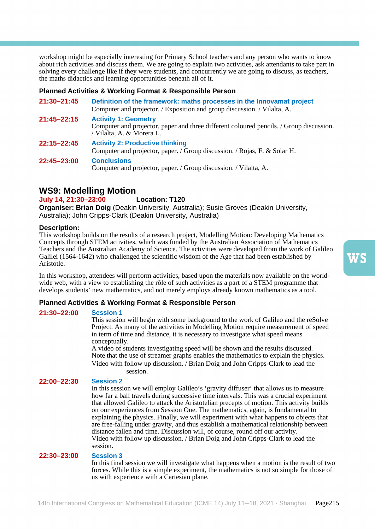workshop might be especially interesting for Primary School teachers and any person who wants to know about rich activities and discuss them. We are going to explain two activities, ask attendants to take part in solving every challenge like if they were students, and concurrently we are going to discuss, as teachers, the maths didactics and learning opportunities beneath all of it.

### **Planned Activities & Working Format & Responsible Person**

| 21:30-21:45 | Definition of the framework: maths processes in the Innovamat project<br>Computer and projector. / Exposition and group discussion. / Vilalta, A.   |
|-------------|-----------------------------------------------------------------------------------------------------------------------------------------------------|
| 21:45-22:15 | <b>Activity 1: Geometry</b><br>Computer and projector, paper and three different coloured pencils. / Group discussion.<br>/ Vilalta, A. & Morera L. |
| 22:15–22:45 | <b>Activity 2: Productive thinking</b><br>Computer and projector, paper. / Group discussion. / Rojas, F. & Solar H.                                 |
| 22:45-23:00 | <b>Conclusions</b><br>Computer and projector, paper. / Group discussion. / Vilalta, A.                                                              |

### **WS9: Modelling Motion**

#### **July 14, 21:30–23:00 Location: T120**

**Organiser: Brian Doig** (Deakin University, Australia); Susie Groves (Deakin University, Australia); John Cripps-Clark (Deakin University, Australia)

### **Description:**

This workshop builds on the results of a research project, Modelling Motion: Developing Mathematics Concepts through STEM activities, which was funded by the Australian Association of Mathematics Teachers and the Australian Academy of Science. The activities were developed from the work of Galileo Galilei (1564-1642) who challenged the scientific wisdom of the Age that had been established by Aristotle.

In this workshop, attendees will perform activities, based upon the materials now available on the worldwide web, with a view to establishing the rôle of such activities as a part of a STEM programme that develops students' new mathematics, and not merely employs already known mathematics as a tool.

### **Planned Activities & Working Format & Responsible Person**

### **21:30–22:00 Session 1**

This session will begin with some background to the work of Galileo and the reSolve Project. As many of the activities in Modelling Motion require measurement of speed in term of time and distance, it is necessary to investigate what speed means conceptually.

A video of students investigating speed will be shown and the results discussed. Note that the use of streamer graphs enables the mathematics to explain the physics. Video with follow up discussion. / Brian Doig and John Cripps-Clark to lead the session.

### **22:00–22:30 Session 2**

In this session we will employ Galileo's 'gravity diffuser' that allows us to measure how far a ball travels during successive time intervals. This was a crucial experiment that allowed Galileo to attack the Aristotelian precepts of motion. This activity builds on our experiences from Session One. The mathematics, again, is fundamental to explaining the physics. Finally, we will experiment with what happens to objects that are free-falling under gravity, and thus establish a mathematical relationship between distance fallen and time. Discussion will, of course, round off our activity. Video with follow up discussion. / Brian Doig and John Cripps-Clark to lead the session.

### **22:30–23:00 Session 3**

In this final session we will investigate what happens when a motion is the result of two forces. While this is a simple experiment, the mathematics is not so simple for those of us with experience with a Cartesian plane.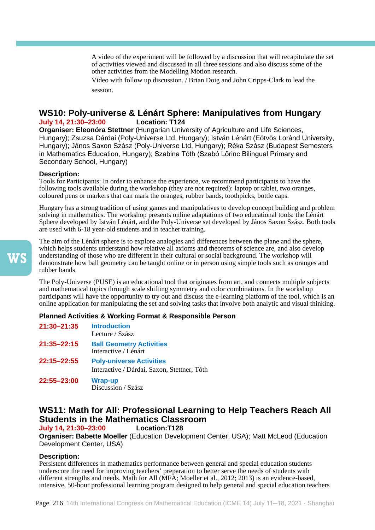A video of the experiment will be followed by a discussion that will recapitulate the set of activities viewed and discussed in all three sessions and also discuss some of the other activities from the Modelling Motion research.

Video with follow up discussion. / Brian Doig and John Cripps-Clark to lead the session.

### **WS10: Poly-universe & Lénárt Sphere: Manipulatives from Hungary July 14, 21:30-23:00**

**Organiser: Eleonóra Stettner** (Hungarian University of Agriculture and Life Sciences, Hungary); Zsuzsa Dárdai (Poly-Universe Ltd, Hungary); István Lénárt (Eötvös Loránd University, Hungary); János Saxon Szász (Poly-Universe Ltd, Hungary); Réka Szász (Budapest Semesters in Mathematics Education, Hungary); Szabina Tóth (Szabó Lőrinc Bilingual Primary and Secondary School, Hungary)

### **Description:**

Tools for Participants: In order to enhance the experience, we recommend participants to have the following tools available during the workshop (they are not required): laptop or tablet, two oranges, coloured pens or markers that can mark the oranges, rubber bands, toothpicks, bottle caps.

Hungary has a strong tradition of using games and manipulatives to develop concept building and problem solving in mathematics. The workshop presents online adaptations of two educational tools: the Lénárt Sphere developed by István Lénárt, and the Poly-Universe set developed by János Saxon Szász. Both tools are used with 6-18 year-old students and in teacher training.

The aim of the Lénárt sphere is to explore analogies and differences between the plane and the sphere, which helps students understand how relative all axioms and theorems of science are, and also develop understanding of those who are different in their cultural or social background. The workshop will demonstrate how ball geometry can be taught online or in person using simple tools such as oranges and rubber bands.

The Poly-Universe (PUSE) is an educational tool that originates from art, and connects multiple subjects and mathematical topics through scale shifting symmetry and color combinations. In the workshop participants will have the opportunity to try out and discuss the e-learning platform of the tool, which is an online application for manipulating the set and solving tasks that involve both analytic and visual thinking.

### **Planned Activities & Working Format & Responsible Person**

| 21:30-21:35 | <b>Introduction</b><br>Lecture / Szász                                         |
|-------------|--------------------------------------------------------------------------------|
| 21:35–22:15 | <b>Ball Geometry Activities</b><br>Interactive / Lénárt                        |
| 22:15-22:55 | <b>Poly-universe Activities</b><br>Interactive / Dárdai, Saxon, Stettner, Tóth |
| 22:55-23:00 | <b>Wrap-up</b><br>Discussion / Szász                                           |

## **WS11: Math for All: Professional Learning to Help Teachers Reach All Students in the Mathematics Classroom**

### **July 14, 21:30-23:00**

**Organiser: Babette Moeller** (Education Development Center, USA); Matt McLeod (Education Development Center, USA)

### **Description:**

Persistent differences in mathematics performance between general and special education students underscore the need for improving teachers' preparation to better serve the needs of students with different strengths and needs. Math for All (MFA; Moeller et al., 2012; 2013) is an evidence-based, intensive, 50-hour professional learning program designed to help general and special education teachers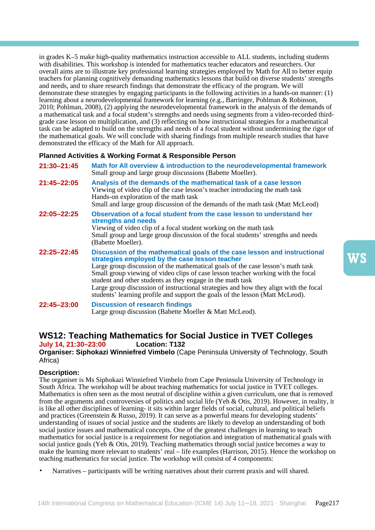in grades K–5 make high-quality mathematics instruction accessible to ALL students, including students with disabilities. This workshop is intended for mathematics teacher educators and researchers. Our overall aims are to illustrate key professional learning strategies employed by Math for All to better equip teachers for planning cognitively demanding mathematics lessons that build on diverse students' strengths and needs, and to share research findings that demonstrate the efficacy of the program. We will demonstrate these strategies by engaging participants in the following activities in a hands-on manner: (1) learning about a neurodevelopmental framework for learning (e.g., Barringer, Pohlman & Robinson, 2010; Pohlman, 2008), (2) applying the neurodevelopmental framework in the analysis of the demands of a mathematical task and a focal student's strengths and needs using segments from a video-recorded thirdgrade case lesson on multiplication, and (3) reflecting on how instructional strategies for a mathematical task can be adapted to build on the strengths and needs of a focal student without undermining the rigor of the mathematical goals. We will conclude with sharing findings from multiple research studies that have demonstrated the efficacy of the Math for All approach.

### **Planned Activities & Working Format & Responsible Person**

**21:30–21:45 Math for All overview & introduction to the neurodevelopmental framework**  Small group and large group discussions (Babette Moeller). **21:45–22:05 Analysis of the demands of the mathematical task of a case lesson**  Viewing of video clip of the case lesson's teacher introducing the math task Hands-on exploration of the math task Small and large group discussion of the demands of the math task (Matt McLeod) **22:05–22:25 Observation of a focal student from the case lesson to understand her strengths and needs**  Viewing of video clip of a focal student working on the math task Small group and large group discussion of the focal students' strengths and needs (Babette Moeller). **22:25–22:45 Discussion of the mathematical goals of the case lesson and instructional strategies employed by the case lesson teacher**  Large group discussion of the mathematical goals of the case lesson's math task Small group viewing of video clips of case lesson teacher working with the focal student and other students as they engage in the math task Large group discussion of instructional strategies and how they align with the focal students' learning profile and support the goals of the lesson (Matt McLeod). **22:45–23:00 Discussion of research findings**  Large group discussion (Babette Moeller & Matt McLeod).

# **WS12: Teaching Mathematics for Social Justice in TVET Colleges**

### **July 14, 21:30–23:00 Location: T132**

**Organiser: Siphokazi Winniefred Vimbelo** (Cape Peninsula University of Technology, South Africa)

### **Description:**

The organiser is Ms Siphokazi Winniefred Vimbelo from Cape Peninsula University of Technology in South Africa. The workshop will be about teaching mathematics for social justice in TVET colleges. Mathematics is often seen as the most neutral of discipline within a given curriculum, one that is removed from the arguments and controversies of politics and social life (Yeh & Otis, 2019). However, in reality, it is like all other disciplines of learning- it sits within larger fields of social, cultural, and political beliefs and practices (Greenstein & Russo, 2019). It can serve as a powerful means for developing students' understanding of issues of social justice and the students are likely to develop an understanding of both social justice issues and mathematical concepts. One of the greatest challenges in learning to teach mathematics for social justice is a requirement for negotiation and integration of mathematical goals with social justice goals (Yeh & Otis, 2019). Teaching mathematics through social justice becomes a way to make the learning more relevant to students' real – life examples (Harrison, 2015). Hence the workshop on teaching mathematics for social justice. The workshop will consist of 4 components:

• Narratives – participants will be writing narratives about their current praxis and will shared.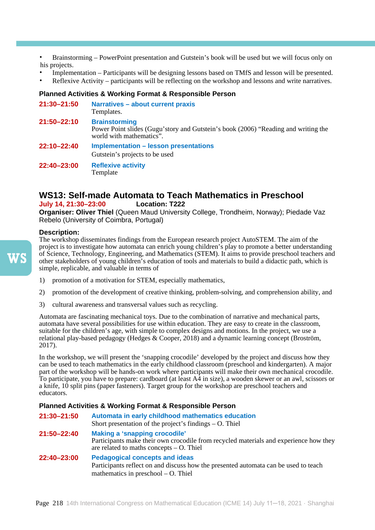• Brainstorming – PowerPoint presentation and Gutstein's book will be used but we will focus only on his projects.

- Implementation Participants will be designing lessons based on TMfS and lesson will be presented.
- Reflexive Activity participants will be reflecting on the workshop and lessons and write narratives.

### **Planned Activities & Working Format & Responsible Person**

| 21:30-21:50 | Narratives - about current praxis<br>Templates.                                                                                        |
|-------------|----------------------------------------------------------------------------------------------------------------------------------------|
| 21:50-22:10 | <b>Brainstorming</b><br>Power Point slides (Gugu'story and Gutstein's book (2006) "Reading and writing the<br>world with mathematics". |
| 22:10-22:40 | <b>Implementation - lesson presentations</b><br>Gutstein's projects to be used                                                         |
| 22:40-23:00 | <b>Reflexive activity</b><br>Template                                                                                                  |

# **WS13: Self-made Automata to Teach Mathematics in Preschool**

### **July 14, 21:30-23:00**

**Organiser: Oliver Thiel** (Queen Maud University College, Trondheim, Norway); Piedade Vaz Rebelo (University of Coimbra, Portugal)

### **Description:**

The workshop disseminates findings from the European research project AutoSTEM. The aim of the project is to investigate how automata can enrich young children's play to promote a better understanding of Science, Technology, Engineering, and Mathematics (STEM). It aims to provide preschool teachers and other stakeholders of young children's education of tools and materials to build a didactic path, which is simple, replicable, and valuable in terms of

- 1) promotion of a motivation for STEM, especially mathematics,
- 2) promotion of the development of creative thinking, problem-solving, and comprehension ability, and
- 3) cultural awareness and transversal values such as recycling.

Automata are fascinating mechanical toys. Due to the combination of narrative and mechanical parts, automata have several possibilities for use within education. They are easy to create in the classroom, suitable for the children's age, with simple to complex designs and motions. In the project, we use a relational play-based pedagogy (Hedges & Cooper, 2018) and a dynamic learning concept (Broström, 2017).

In the workshop, we will present the 'snapping crocodile' developed by the project and discuss how they can be used to teach mathematics in the early childhood classroom (preschool and kindergarten). A major part of the workshop will be hands-on work where participants will make their own mechanical crocodile. To participate, you have to prepare: cardboard (at least  $A\overline{4}$  in size), a wooden skewer or an awl, scissors or a knife, 10 split pins (paper fasteners). Target group for the workshop are preschool teachers and educators.

### **Planned Activities & Working Format & Responsible Person**

**21:30–21:50 Automata in early childhood mathematics education**  Short presentation of the project's findings – O. Thiel **21:50–22:40 Making a 'snapping crocodile'**  Participants make their own crocodile from recycled materials and experience how they are related to maths concepts – O. Thiel **22:40–23:00 Pedagogical concepts and ideas**  Participants reflect on and discuss how the presented automata can be used to teach mathematics in preschool – O. Thiel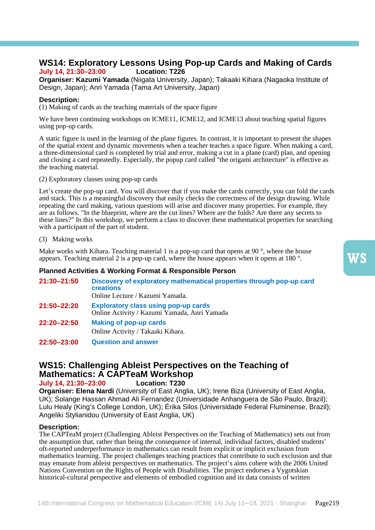## **WS14: Exploratory Lessons Using Pop-up Cards and Making of Cards July 14, 21:30–23:00 Location: T226**

**Organiser: Kazumi Yamada** (Niigata University, Japan); Takaaki Kihara (Nagaoka Institute of Design, Japan); Anri Yamada (Tama Art University, Japan)

### **Description:**

(1) Making of cards as the teaching materials of the space figure

We have been continuing workshops on ICME11, ICME12, and ICME13 about teaching spatial figures using pop-up cards.

A static figure is used in the learning of the plane figures. In contrast, it is important to present the shapes of the spatial extent and dynamic movements when a teacher teaches a space figure. When making a card, a three-dimensional card is completed by trial and error, making a cut in a plane (card) plan, and opening and closing a card repeatedly. Especially, the popup card called "the origami architecture" is effective as the teaching material.

(2) Exploratory classes using pop-up cards

Let's create the pop-up card. You will discover that if you make the cards correctly, you can fold the cards and stack. This is a meaningful discovery that easily checks the correctness of the design drawing. While repeating the card making, various questions will arise and discover many properties. For example, they are as follows. "In the blueprint, where are the cut lines? Where are the folds? Are there any secrets to these lines?" In this workshop, we perform a class to discover these mathematical properties for searching with a participant of the part of student.

(3) Making works

Make works with Kihara. Teaching material 1 is a pop-up card that opens at 90 $\degree$ , where the house appears. Teaching material 2 is a pop-up card, where the house appears when it opens at 180 °.

### **Planned Activities & Working Format & Responsible Person**

| 21:30–21:50 | Discovery of exploratory mathematical properties through pop-up card<br><b>creations</b><br>Online Lecture / Kazumi Yamada. |
|-------------|-----------------------------------------------------------------------------------------------------------------------------|
| 21:50–22:20 | <b>Exploratory class using pop-up cards</b><br>Online Activity / Kazumi Yamada, Anri Yamada                                 |
| 22:20-22:50 | <b>Making of pop-up cards</b><br>Online Activity / Takaaki Kihara.                                                          |
| 22:50-23:00 | <b>Question and answer</b>                                                                                                  |

## **WS15: Challenging Ableist Perspectives on the Teaching of Mathematics: A CAPTeaM Workshop**<br>**July 14, 21:30-23:00** Location: T230

### **July 14, 21:30–23:00 Location: T230**

**Organiser: Elena Nardi** (University of East Anglia, UK); Irene Biza (University of East Anglia, UK); Solange Hassan Ahmad Ali Fernandez (Universidade Anhanguera de São Paulo, Brazil); Lulu Healy (King's College London, UK); Érika Silos (Universidade Federal Fluminense, Brazil); Angeliki Stylianidou (University of East Anglia, UK)

### **Description:**

The CAPTeaM project (Challenging Ableist Perspectives on the Teaching of Mathematics) sets out from the assumption that, rather than being the consequence of internal, individual factors, disabled students' oft-reported underperformance in mathematics can result from explicit or implicit exclusion from mathematics learning. The project challenges teaching practices that contribute to such exclusion and that may emanate from ableist perspectives on mathematics. The project's aims cohere with the 2006 United Nations Convention on the Rights of People with Disabilities. The project endorses a Vygotskian historical-cultural perspective and elements of embodied cognition and its data consists of written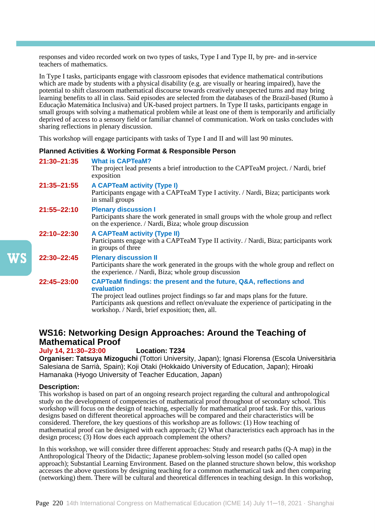responses and video recorded work on two types of tasks, Type I and Type II, by pre- and in-service teachers of mathematics.

In Type I tasks, participants engage with classroom episodes that evidence mathematical contributions which are made by students with a physical disability (e.g. are visually or hearing impaired), have the potential to shift classroom mathematical discourse towards creatively unexpected turns and may bring learning benefits to all in class. Said episodes are selected from the databases of the Brazil-based (Rumo à Educação Matemática Inclusiva) and UK-based project partners. In Type II tasks, participants engage in small groups with solving a mathematical problem while at least one of them is temporarily and artificially deprived of access to a sensory field or familiar channel of communication. Work on tasks concludes with sharing reflections in plenary discussion.

This workshop will engage participants with tasks of Type I and II and will last 90 minutes.

### **Planned Activities & Working Format & Responsible Person**

| 21:30-21:35 | <b>What is CAPTeaM?</b><br>The project lead presents a brief introduction to the CAPTeaM project. / Nardi, brief<br>exposition                                                                                                                                    |
|-------------|-------------------------------------------------------------------------------------------------------------------------------------------------------------------------------------------------------------------------------------------------------------------|
| 21:35-21:55 | <b>A CAPTeaM activity (Type I)</b><br>Participants engage with a CAPTeaM Type I activity. / Nardi, Biza; participants work<br>in small groups                                                                                                                     |
| 21:55-22:10 | <b>Plenary discussion I</b><br>Participants share the work generated in small groups with the whole group and reflect<br>on the experience. / Nardi, Biza; whole group discussion                                                                                 |
| 22:10-22:30 | <b>A CAPTeaM activity (Type II)</b><br>Participants engage with a CAPTeaM Type II activity. / Nardi, Biza; participants work<br>in groups of three                                                                                                                |
| 22:30-22:45 | <b>Plenary discussion II</b><br>Participants share the work generated in the groups with the whole group and reflect on<br>the experience. / Nardi, Biza; whole group discussion                                                                                  |
| 22:45-23:00 | CAPTeaM findings: the present and the future, Q&A, reflections and<br>evaluation<br>The project lead outlines project findings so far and maps plans for the future.<br>Participants ask questions and reflect on/evaluate the experience of participating in the |

## **WS16: Networking Design Approaches: Around the Teaching of Mathematical Proof**

workshop. / Nardi, brief exposition; then, all.

### **July 14, 21:30–23:00 Location: T234**

**Organiser: Tatsuya Mizoguchi** (Tottori University, Japan); Ignasi Florensa (Escola Universitària Salesiana de Sarrià, Spain); Koji Otaki (Hokkaido University of Education, Japan); Hiroaki Hamanaka (Hyogo University of Teacher Education, Japan)

### **Description:**

This workshop is based on part of an ongoing research project regarding the cultural and anthropological study on the development of competencies of mathematical proof throughout of secondary school. This workshop will focus on the design of teaching, especially for mathematical proof task. For this, various designs based on different theoretical approaches will be compared and their characteristics will be considered. Therefore, the key questions of this workshop are as follows: (1) How teaching of mathematical proof can be designed with each approach; (2) What characteristics each approach has in the design process; (3) How does each approach complement the others?

In this workshop, we will consider three different approaches: Study and research paths (Q-A map) in the Anthropological Theory of the Didactic; Japanese problem-solving lesson model (so called open approach); Substantial Learning Environment. Based on the planned structure shown below, this workshop accesses the above questions by designing teaching for a common mathematical task and then comparing (networking) them. There will be cultural and theoretical differences in teaching design. In this workshop,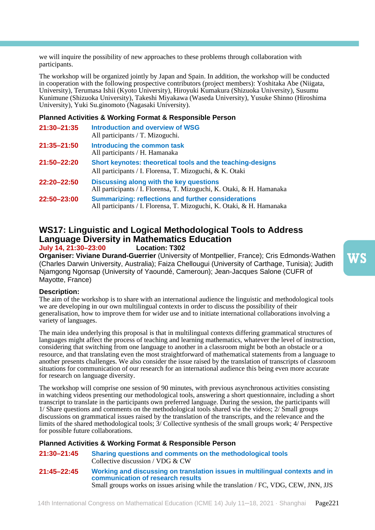we will inquire the possibility of new approaches to these problems through collaboration with participants.

The workshop will be organized jointly by Japan and Spain. In addition, the workshop will be conducted in cooperation with the following prospective contributors (project members): Yoshitaka Abe (Niigata, University), Terumasa Ishii (Kyoto University), Hiroyuki Kumakura (Shizuoka University), Susumu Kunimune (Shizuoka University), Takeshi Miyakawa (Waseda University), Yusuke Shinno (Hiroshima University), Yuki Su.ginomoto (Nagasaki University).

### **Planned Activities & Working Format & Responsible Person**

| 21:30-21:35 | <b>Introduction and overview of WSG</b><br>All participants / T. Mizoguchi.                                                         |
|-------------|-------------------------------------------------------------------------------------------------------------------------------------|
| 21:35-21:50 | Introducing the common task<br>All participants / H. Hamanaka                                                                       |
| 21:50–22:20 | Short keynotes: theoretical tools and the teaching-designs<br>All participants / I. Florensa, T. Mizoguchi, & K. Otaki              |
| 22:20-22:50 | Discussing along with the key questions<br>All participants / I. Florensa, T. Mizoguchi, K. Otaki, & H. Hamanaka                    |
| 22:50-23:00 | <b>Summarizing: reflections and further considerations</b><br>All participants / I. Florensa, T. Mizoguchi, K. Otaki, & H. Hamanaka |

## **WS17: Linguistic and Logical Methodological Tools to Address Language Diversity in Mathematics Education**

**July 14, 21:30–23:00 Location: T302**

**Organiser: Viviane Durand-Guerrier** (University of Montpellier, France); Cris Edmonds-Wathen (Charles Darwin University, Australia); Faiza Chellougui (University of Carthage, Tunisia); Judith Njamgong Ngonsap (University of Yaoundé, Cameroun); Jean-Jacques Salone (CUFR of Mayotte, France)

### **Description:**

The aim of the workshop is to share with an international audience the linguistic and methodological tools we are developing in our own multilingual contexts in order to discuss the possibility of their generalisation, how to improve them for wider use and to initiate international collaborations involving a variety of languages.

The main idea underlying this proposal is that in multilingual contexts differing grammatical structures of languages might affect the process of teaching and learning mathematics, whatever the level of instruction, considering that switching from one language to another in a classroom might be both an obstacle or a resource, and that translating even the most straightforward of mathematical statements from a language to another presents challenges. We also consider the issue raised by the translation of transcripts of classroom situations for communication of our research for an international audience this being even more accurate for research on language diversity.

The workshop will comprise one session of 90 minutes, with previous asynchronous activities consisting in watching videos presenting our methodological tools, answering a short questionnaire, including a short transcript to translate in the participants own preferred language. During the session, the participants will 1/ Share questions and comments on the methodological tools shared via the videos; 2/ Small groups discussions on grammatical issues raised by the translation of the transcripts, and the relevance and the limits of the shared methodological tools; 3/ Collective synthesis of the small groups work; 4/ Perspective for possible future collaborations.

### **Planned Activities & Working Format & Responsible Person**

**21:30–21:45 Sharing questions and comments on the methodological tools**  Collective discussion / VDG & CW **21:45–22:45 Working and discussing on translation issues in multilingual contexts and in communication of research results** 

Small groups works on issues arising while the translation / FC, VDG, CEW, JNN, JJS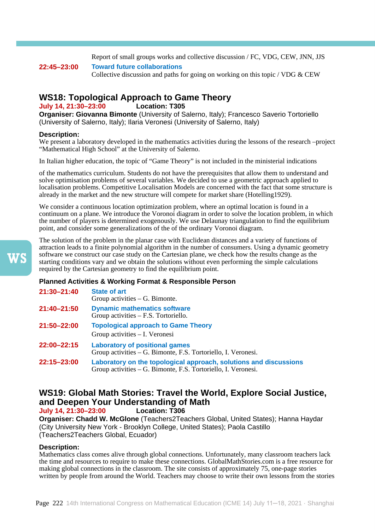Report of small groups works and collective discussion / FC, VDG, CEW, JNN, JJS

**22:45–23:00 Toward future collaborations**  Collective discussion and paths for going on working on this topic / VDG  $&$  CEW

# **WS18: Topological Approach to Game Theory**<br>**July 14, 21:30-23:00** Location: T305

### **July 14, 21:30-23:00**

**Organiser: Giovanna Bimonte** (University of Salerno, Italy); Francesco Saverio Tortoriello (University of Salerno, Italy); Ilaria Veronesi (University of Salerno, Italy)

### **Description:**

We present a laboratory developed in the mathematics activities during the lessons of the research –project "Mathematical High School" at the University of Salerno.

In Italian higher education, the topic of "Game Theory" is not included in the ministerial indications

of the mathematics curriculum. Students do not have the prerequisites that allow them to understand and solve optimisation problems of several variables. We decided to use a geometric approach applied to localisation problems. Competitive Localisation Models are concerned with the fact that some structure is already in the market and the new structure will compete for market share (Hotelling1929).

We consider a continuous location optimization problem, where an optimal location is found in a continuum on a plane. We introduce the Voronoi diagram in order to solve the location problem, in which the number of players is determined exogenously. We use Delaunay triangulation to find the equilibrium point, and consider some generalizations of the of the ordinary Voronoi diagram.

The solution of the problem in the planar case with Euclidean distances and a variety of functions of attraction leads to a finite polynomial algorithm in the number of consumers. Using a dynamic geometry software we construct our case study on the Cartesian plane, we check how the results change as the starting conditions vary and we obtain the solutions without even performing the simple calculations required by the Cartesian geometry to find the equilibrium point.

### **Planned Activities & Working Format & Responsible Person**

| 21:30-21:40 | <b>State of art</b><br>Group activities $-$ G. Bimonte.                                                                            |
|-------------|------------------------------------------------------------------------------------------------------------------------------------|
| 21:40–21:50 | <b>Dynamic mathematics software</b><br>Group activities $-$ F.S. Tortoriello.                                                      |
| 21:50-22:00 | <b>Topological approach to Game Theory</b><br>Group activities – I. Veronesi                                                       |
| 22:00-22:15 | <b>Laboratory of positional games</b><br>Group activities – G. Bimonte, F.S. Tortoriello, I. Veronesi.                             |
| 22:15-23:00 | Laboratory on the topological approach, solutions and discussions<br>Group activities – G. Bimonte, F.S. Tortoriello, I. Veronesi. |

# **WS19: Global Math Stories: Travel the World, Explore Social Justice, and Deepen Your Understanding of Math**

**July 14, 21:30–23:00 Location: T306**

**Organiser: Chadd W. McGlone** (Teachers2Teachers Global, United States); Hanna Haydar (City University New York - Brooklyn College, United States); Paola Castillo (Teachers2Teachers Global, Ecuador)

### **Description:**

Mathematics class comes alive through global connections. Unfortunately, many classroom teachers lack the time and resources to require to make these connections. GlobalMathStories.com is a free resource for making global connections in the classroom. The site consists of approximately 75, one-page stories written by people from around the World. Teachers may choose to write their own lessons from the stories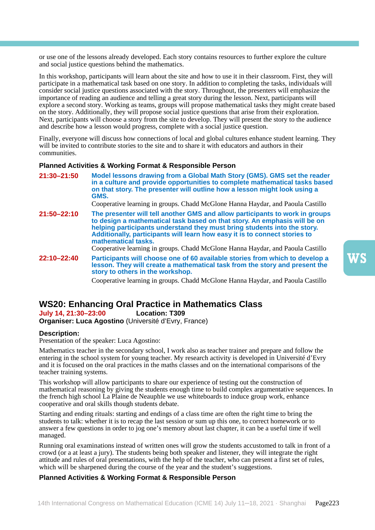or use one of the lessons already developed. Each story contains resources to further explore the culture and social justice questions behind the mathematics.

In this workshop, participants will learn about the site and how to use it in their classroom. First, they will participate in a mathematical task based on one story. In addition to completing the tasks, individuals will consider social justice questions associated with the story. Throughout, the presenters will emphasize the importance of reading an audience and telling a great story during the lesson. Next, participants will explore a second story. Working as teams, groups will propose mathematical tasks they might create based on the story. Additionally, they will propose social justice questions that arise from their exploration. Next, participants will choose a story from the site to develop. They will present the story to the audience and describe how a lesson would progress, complete with a social justice question.

Finally, everyone will discuss how connections of local and global cultures enhance student learning. They will be invited to contribute stories to the site and to share it with educators and authors in their communities.

#### **Planned Activities & Working Format & Responsible Person**

**21:30–21:50 Model lessons drawing from a Global Math Story (GMS). GMS set the reader in a culture and provide opportunities to complete mathematical tasks based on that story. The presenter will outline how a lesson might look using a GMS.**

Cooperative learning in groups. Chadd McGlone Hanna Haydar, and Paoula Castillo

**21:50–22:10 The presenter will tell another GMS and allow participants to work in groups to design a mathematical task based on that story. An emphasis will be on helping participants understand they must bring students into the story. Additionally, participants will learn how easy it is to connect stories to mathematical tasks.** 

Cooperative learning in groups. Chadd McGlone Hanna Haydar, and Paoula Castillo

**22:10–22:40 Participants will choose one of 60 available stories from which to develop a lesson. They will create a mathematical task from the story and present the story to others in the workshop.** 

Cooperative learning in groups. Chadd McGlone Hanna Haydar, and Paoula Castillo

# **WS20: Enhancing Oral Practice in Mathematics Class**

**July 14, 21:30–23:00 Location: T309 Organiser: Luca Agostino** (Université d'Evry, France)

#### **Description:**

Presentation of the speaker: Luca Agostino:

Mathematics teacher in the secondary school, I work also as teacher trainer and prepare and follow the entering in the school system for young teacher. My research activity is developed in Université d'Evry and it is focused on the oral practices in the maths classes and on the international comparisons of the teacher training systems.

This workshop will allow participants to share our experience of testing out the construction of mathematical reasoning by giving the students enough time to build complex argumentative sequences. In the french high school La Plaine de Neauphle we use whiteboards to induce group work, enhance cooperative and oral skills though students debate.

Starting and ending rituals: starting and endings of a class time are often the right time to bring the students to talk: whether it is to recap the last session or sum up this one, to correct homework or to answer a few questions in order to jog one's memory about last chapter, it can be a useful time if well managed.

Running oral examinations instead of written ones will grow the students accustomed to talk in front of a crowd (or a at least a jury). The students being both speaker and listener, they will integrate the right attitude and rules of oral presentations, with the help of the teacher, who can present a first set of rules, which will be sharpened during the course of the year and the student's suggestions.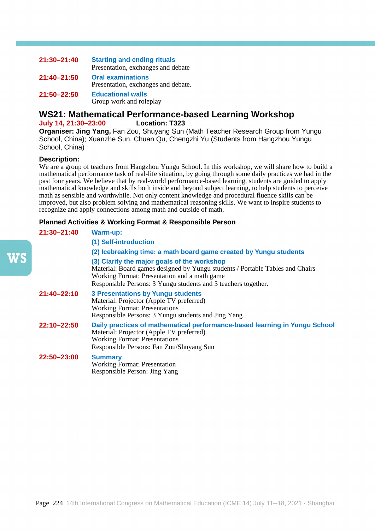| 21:30-21:40 | <b>Starting and ending rituals</b><br>Presentation, exchanges and debate |
|-------------|--------------------------------------------------------------------------|
|             |                                                                          |
| 21:40-21:50 | <b>Oral examinations</b><br>Presentation, exchanges and debate.          |
| 21:50-22:50 | <b>Educational walls</b>                                                 |
|             | Group work and roleplay                                                  |

### **WS21: Mathematical Performance-based Learning Workshop July 14, 21:30–23:00 Location: T323**

**Organiser: Jing Yang,** Fan Zou, Shuyang Sun (Math Teacher Research Group from Yungu School, China); Xuanzhe Sun, Chuan Qu, Chengzhi Yu (Students from Hangzhou Yungu School, China)

### **Description:**

We are a group of teachers from Hangzhou Yungu School. In this workshop, we will share how to build a mathematical performance task of real-life situation, by going through some daily practices we had in the past four years. We believe that by real-world performance-based learning, students are guided to apply mathematical knowledge and skills both inside and beyond subject learning, to help students to perceive math as sensible and worthwhile. Not only content knowledge and procedural fluence skills can be improved, but also problem solving and mathematical reasoning skills. We want to inspire students to recognize and apply connections among math and outside of math.

| 21:30-21:40 | <b>Warm-up:</b>                                                                                                                                                                                                                                |
|-------------|------------------------------------------------------------------------------------------------------------------------------------------------------------------------------------------------------------------------------------------------|
|             | (1) Self-introduction                                                                                                                                                                                                                          |
|             | (2) Icebreaking time: a math board game created by Yungu students                                                                                                                                                                              |
|             | (3) Clarify the major goals of the workshop<br>Material: Board games designed by Yungu students / Portable Tables and Chairs<br>Working Format: Presentation and a math game<br>Responsible Persons: 3 Yungu students and 3 teachers together. |
| 21:40-22:10 | <b>3 Presentations by Yungu students</b><br>Material: Projector (Apple TV preferred)<br><b>Working Format: Presentations</b><br>Responsible Persons: 3 Yungu students and Jing Yang                                                            |
| 22:10-22:50 | Daily practices of mathematical performance-based learning in Yungu School<br>Material: Projector (Apple TV preferred)<br><b>Working Format: Presentations</b><br>Responsible Persons: Fan Zou/Shuyang Sun                                     |
| 22:50-23:00 | <b>Summary</b><br><b>Working Format: Presentation</b><br>Responsible Person: Jing Yang                                                                                                                                                         |
|             |                                                                                                                                                                                                                                                |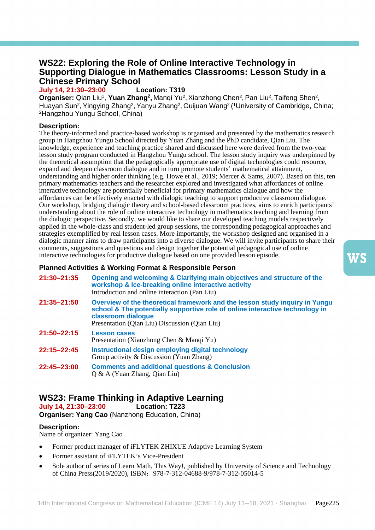## **WS22: Exploring the Role of Online Interactive Technology in Supporting Dialogue in Mathematics Classrooms: Lesson Study in a Chinese Primary School**

**July 14, 21:30–23:00 Location: T319**

**Organiser:** Qian Liu<sup>1</sup>, Yuan Zhang<sup>2</sup>, Manqi Yu<sup>2</sup>, Xianzhong Chen<sup>2</sup>, Pan Liu<sup>2</sup>, Taifeng Shen<sup>2</sup>, Huayan Sun<sup>2</sup>, Yingying Zhang<sup>2</sup>, Yanyu Zhang<sup>2</sup>, Guijuan Wang<sup>2</sup> (<sup>1</sup>University of Cambridge, China; 2Hangzhou Yungu School, China)

### **Description:**

The theory-informed and practice-based workshop is organised and presented by the mathematics research group in Hangzhou Yungu School directed by Yuan Zhang and the PhD candidate, Qian Liu. The knowledge, experience and teaching practice shared and discussed here were derived from the two-year lesson study program conducted in Hangzhou Yungu school. The lesson study inquiry was underpinned by the theoretical assumption that the pedagogically appropriate use of digital technologies could resource, expand and deepen classroom dialogue and in turn promote students' mathematical attainment, understanding and higher order thinking (e.g. Howe et al., 2019; Mercer & Sams, 2007). Based on this, ten primary mathematics teachers and the researcher explored and investigated what affordances of online interactive technology are potentially beneficial for primary mathematics dialogue and how the affordances can be effectively enacted with dialogic teaching to support productive classroom dialogue. Our workshop, bridging dialogic theory and school-based classroom practices, aims to enrich participants' understanding about the role of online interactive technology in mathematics teaching and learning from the dialogic perspective. Secondly, we would like to share our developed teaching models respectively applied in the whole-class and student-led group sessions, the corresponding pedagogical approaches and strategies exemplified by real lesson cases. More importantly, the workshop designed and organised in a dialogic manner aims to draw participants into a diverse dialogue. We will invite participants to share their comments, suggestions and questions and design together the potential pedagogical use of online interactive technologies for productive dialogue based on one provided lesson episode.

### **Planned Activities & Working Format & Responsible Person**

| 21:30-21:35 | Opening and welcoming & Clarifying main objectives and structure of the<br>workshop & Ice-breaking online interactive activity<br>Introduction and online interaction (Pan Liu)                                                    |
|-------------|------------------------------------------------------------------------------------------------------------------------------------------------------------------------------------------------------------------------------------|
| 21:35-21:50 | Overview of the theoretical framework and the lesson study inquiry in Yungu<br>school & The potentially supportive role of online interactive technology in<br>classroom dialogue<br>Presentation (Qian Liu) Discussion (Qian Liu) |
| 21:50-22:15 | <b>Lesson cases</b><br>Presentation (Xianzhong Chen & Mangi Yu)                                                                                                                                                                    |
| 22:15-22:45 | Instructional design employing digital technology<br>Group activity & Discussion (Yuan Zhang)                                                                                                                                      |
| 22:45-23:00 | <b>Comments and additional questions &amp; Conclusion</b><br>$Q & A$ (Yuan Zhang, Qian Liu)                                                                                                                                        |

# **WS23: Frame Thinking in Adaptive Learning**

**July 14, 21:30–23:00 Location: T223**

**Organiser: Yang Cao** (Nanzhong Education, China)

### **Description:**

Name of organizer: Yang Cao

- Former product manager of iFLYTEK ZHIXUE Adaptive Learning System
- Former assistant of iFLYTEK's Vice-President
- Sole author of series of Learn Math, This Way!, published by University of Science and Technology of China Press(2019/2020), ISBN:978-7-312-04688-9/978-7-312-05014-5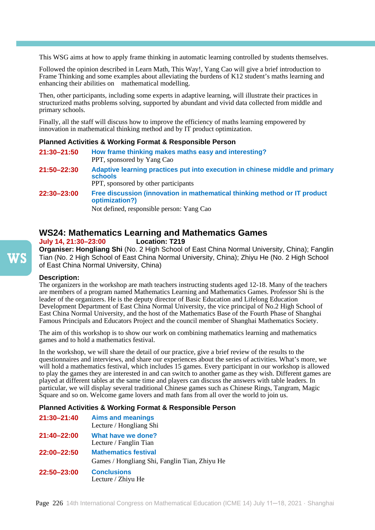This WSG aims at how to apply frame thinking in automatic learning controlled by students themselves.

Followed the opinion described in Learn Math, This Way!, Yang Cao will give a brief introduction to Frame Thinking and some examples about alleviating the burdens of K12 student's maths learning and enhancing their abilities on mathematical modelling.

Then, other participants, including some experts in adaptive learning, will illustrate their practices in structurized maths problems solving, supported by abundant and vivid data collected from middle and primary schools.

Finally, all the staff will discuss how to improve the efficiency of maths learning empowered by innovation in mathematical thinking method and by IT product optimization.

### **Planned Activities & Working Format & Responsible Person**

**21:30–21:50 How frame thinking makes maths easy and interesting?** PPT, sponsored by Yang Cao **21:50–22:30 Adaptive learning practices put into execution in chinese middle and primary schools**  PPT, sponsored by other participants **22:30–23:00 Free discussion (innovation in mathematical thinking method or IT product optimization?)**

Not defined, responsible person: Yang Cao

# **WS24: Mathematics Learning and Mathematics Games**

**July 14, 21:30-23:00** 

**Organiser: Hongliang Shi** (No. 2 High School of East China Normal University, China); Fanglin Tian (No. 2 High School of East China Normal University, China); Zhiyu He (No. 2 High School of East China Normal University, China)

### **Description:**

The organizers in the workshop are math teachers instructing students aged 12-18. Many of the teachers are members of a program named Mathematics Learning and Mathematics Games. Professor Shi is the leader of the organizers. He is the deputy director of Basic Education and Lifelong Education Development Department of East China Normal University, the vice principal of No.2 High School of East China Normal University, and the host of the Mathematics Base of the Fourth Phase of Shanghai Famous Principals and Educators Project and the council member of Shanghai Mathematics Society.

The aim of this workshop is to show our work on combining mathematics learning and mathematics games and to hold a mathematics festival.

In the workshop, we will share the detail of our practice, give a brief review of the results to the questionnaires and interviews, and share our experiences about the series of activities. What's more, we will hold a mathematics festival, which includes 15 games. Every participant in our workshop is allowed to play the games they are interested in and can switch to another game as they wish. Different games are played at different tables at the same time and players can discuss the answers with table leaders. In particular, we will display several traditional Chinese games such as Chinese Rings, Tangram, Magic Square and so on. Welcome game lovers and math fans from all over the world to join us.

| 21:30-21:40 | <b>Aims and meanings</b><br>Lecture / Hongliang Shi                          |
|-------------|------------------------------------------------------------------------------|
| 21:40-22:00 | What have we done?<br>Lecture / Fanglin Tian                                 |
| 22:00-22:50 | <b>Mathematics festival</b><br>Games / Hongliang Shi, Fanglin Tian, Zhiyu He |
| 22:50-23:00 | <b>Conclusions</b><br>Lecture / Zhiyu He                                     |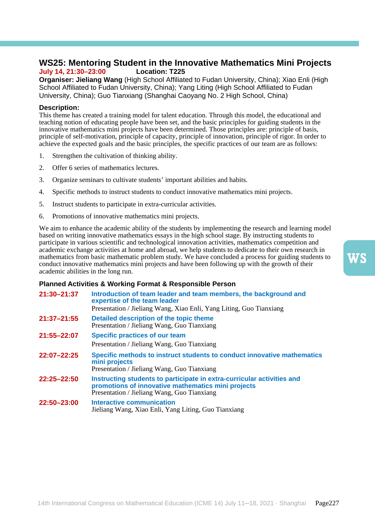### **WS25: Mentoring Student in the Innovative Mathematics Mini Projects July 14, 21:30–23:00 Location: T225**

**Organiser: Jieliang Wang** (High School Affiliated to Fudan University, China); Xiao Enli (High School Affiliated to Fudan University, China); Yang Liting (High School Affiliated to Fudan University, China); Guo Tianxiang (Shanghai Caoyang No. 2 High School, China)

### **Description:**

This theme has created a training model for talent education. Through this model, the educational and teaching notion of educating people have been set, and the basic principles for guiding students in the innovative mathematics mini projects have been determined. Those principles are: principle of basis, principle of self-motivation, principle of capacity, principle of innovation, principle of rigor. In order to achieve the expected goals and the basic principles, the specific practices of our team are as follows:

- 1. Strengthen the cultivation of thinking ability.
- 2. Offer 6 series of mathematics lectures.
- 3. Organize seminars to cultivate students' important abilities and habits.
- 4. Specific methods to instruct students to conduct innovative mathematics mini projects.
- 5. Instruct students to participate in extra-curricular activities.
- 6. Promotions of innovative mathematics mini projects.

We aim to enhance the academic ability of the students by implementing the research and learning model based on writing innovative mathematics essays in the high school stage. By instructing students to participate in various scientific and technological innovation activities, mathematics competition and academic exchange activities at home and abroad, we help students to dedicate to their own research in mathematics from basic mathematic problem study. We have concluded a process for guiding students to conduct innovative mathematics mini projects and have been following up with the growth of their academic abilities in the long run.

### **Planned Activities & Working Format & Responsible Person**

| 21:30-21:37 | Introduction of team leader and team members, the background and<br>expertise of the team leader<br>Presentation / Jieliang Wang, Xiao Enli, Yang Liting, Guo Tianxiang     |
|-------------|-----------------------------------------------------------------------------------------------------------------------------------------------------------------------------|
| 21:37-21:55 | Detailed description of the topic theme<br>Presentation / Jieliang Wang, Guo Tianxiang                                                                                      |
| 21:55–22:07 | <b>Specific practices of our team</b><br>Presentation / Jieliang Wang, Guo Tianxiang                                                                                        |
| 22:07-22:25 | Specific methods to instruct students to conduct innovative mathematics<br>mini projects<br>Presentation / Jieliang Wang, Guo Tianxiang                                     |
| 22:25–22:50 | Instructing students to participate in extra-curricular activities and<br>promotions of innovative mathematics mini projects<br>Presentation / Jieliang Wang, Guo Tianxiang |
| 22:50-23:00 | Interactive communication<br>Jieliang Wang, Xiao Enli, Yang Liting, Guo Tianxiang                                                                                           |

WS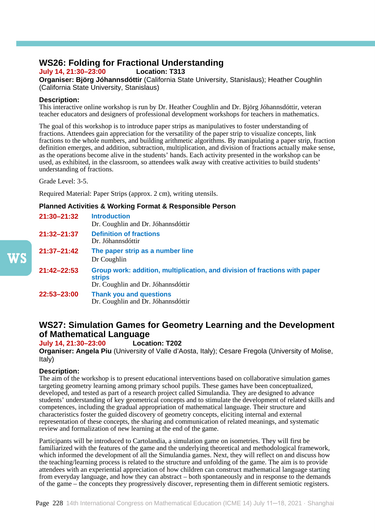# **WS26: Folding for Fractional Understanding**

**July 14, 21:30–23:00 Location: T313**

**Organiser: Björg Jóhannsdóttir** (California State University, Stanislaus); Heather Coughlin (California State University, Stanislaus)

### **Description:**

This interactive online workshop is run by Dr. Heather Coughlin and Dr. Björg Jóhannsdóttir, veteran teacher educators and designers of professional development workshops for teachers in mathematics.

The goal of this workshop is to introduce paper strips as manipulatives to foster understanding of fractions. Attendees gain appreciation for the versatility of the paper strip to visualize concepts, link fractions to the whole numbers, and building arithmetic algorithms. By manipulating a paper strip, fraction definition emerges, and addition, subtraction, multiplication, and division of fractions actually make sense, as the operations become alive in the students' hands. Each activity presented in the workshop can be used, as exhibited, in the classroom, so attendees walk away with creative activities to build students' understanding of fractions.

Grade Level: 3-5.

Required Material: Paper Strips (approx. 2 cm), writing utensils.

### **Planned Activities & Working Format & Responsible Person**

| $21:30 - 21:32$ | <b>Introduction</b><br>Dr. Coughlin and Dr. Jóhannsdóttir                                                                         |
|-----------------|-----------------------------------------------------------------------------------------------------------------------------------|
| $21:32 - 21:37$ | <b>Definition of fractions</b><br>Dr. Jóhannsdóttir                                                                               |
| $21:37 - 21:42$ | The paper strip as a number line<br>Dr Coughlin                                                                                   |
| $21:42 - 22:53$ | Group work: addition, multiplication, and division of fractions with paper<br><b>strips</b><br>Dr. Coughlin and Dr. Jóhannsdóttir |
| 22:53-23:00     | <b>Thank you and questions</b><br>Dr. Coughlin and Dr. Jóhannsdóttir                                                              |

## **WS27: Simulation Games for Geometry Learning and the Development of Mathematical Language**

**July 14, 21:30–23:00 Location: T202**

**Organiser: Angela Piu** (University of Valle d'Aosta, Italy); Cesare Fregola (University of Molise, Italy)

### **Description:**

The aim of the workshop is to present educational interventions based on collaborative simulation games targeting geometry learning among primary school pupils. These games have been conceptualized, developed, and tested as part of a research project called Simulandia. They are designed to advance students' understanding of key geometrical concepts and to stimulate the development of related skills and competences, including the gradual appropriation of mathematical language. Their structure and characteristics foster the guided discovery of geometry concepts, eliciting internal and external representation of these concepts, the sharing and communication of related meanings, and systematic review and formalization of new learning at the end of the game.

Participants will be introduced to Cartolandia, a simulation game on isometries. They will first be familiarized with the features of the game and the underlying theoretical and methodological framework, which informed the development of all the Simulandia games. Next, they will reflect on and discuss how the teaching/learning process is related to the structure and unfolding of the game. The aim is to provide attendees with an experiential appreciation of how children can construct mathematical language starting from everyday language, and how they can abstract – both spontaneously and in response to the demands of the game – the concepts they progressively discover, representing them in different semiotic registers.